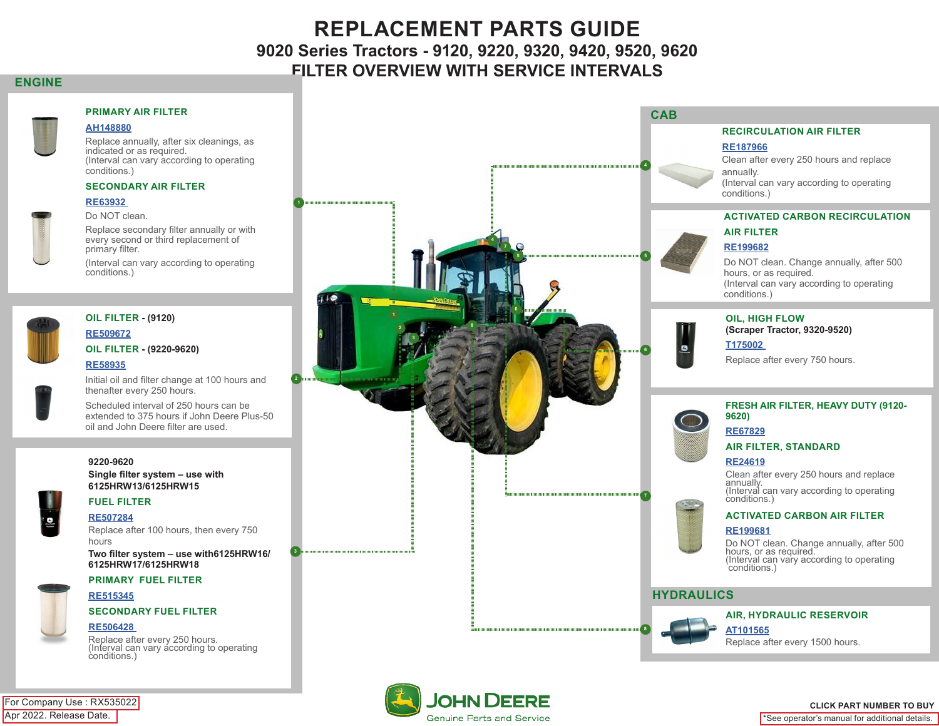# **REPLACEMENT PARTS GUIDE 9020 Series Tractors - 9120, 9220, 9320, 9420, 9520, 9620 FILTER OVERVIEW WITH SERVICE INTERVALS**

### **ENGINE**



#### **PRIMARY AIR FILTER**

### **AH148880**

Replace annually, after six cleanings, as indicated or as required. (Interval can vary according to operating conditions.)

#### **SECONDARY AIR FILTER**

#### **RE63932**

Do NOT clean.

Replace secondary filter annually or with every second or third replacement of primary filter.

**1**

 **3**

 **2**

(Interval can vary according to operating conditions.)



#### **OIL FILTER - (9120)**

### **RE509672 OIL FILTER - (9220-9620)**

### **RE58935**

Initial oil and filter change at 100 hours and thenafter every 250 hours.

Scheduled interval of 250 hours can be extended to 375 hours if John Deere Plus-50 oil and John Deere filter are used.

#### **9220-9620**

**Single filter system – use with 6125HRW13/6125HRW15**

#### **FUEL FILTER**

#### **RE507284**

Replace after 100 hours, then every 750 hours

**Two filter system – use with6125HRW16/ 6125HRW17/6125HRW18**

#### **PRIMARY FUEL FILTER**



**SECONDARY FUEL FILTER**

#### **RE506428**

Replace after every 250 hours. (Interval can vary according to operating conditions.)



![](_page_0_Picture_29.jpeg)

#### **CLICK PART NUMBER TO BUY**

\*See operator's manual for additional details.

Apr 2022. Release Date. For Company Use : RX535022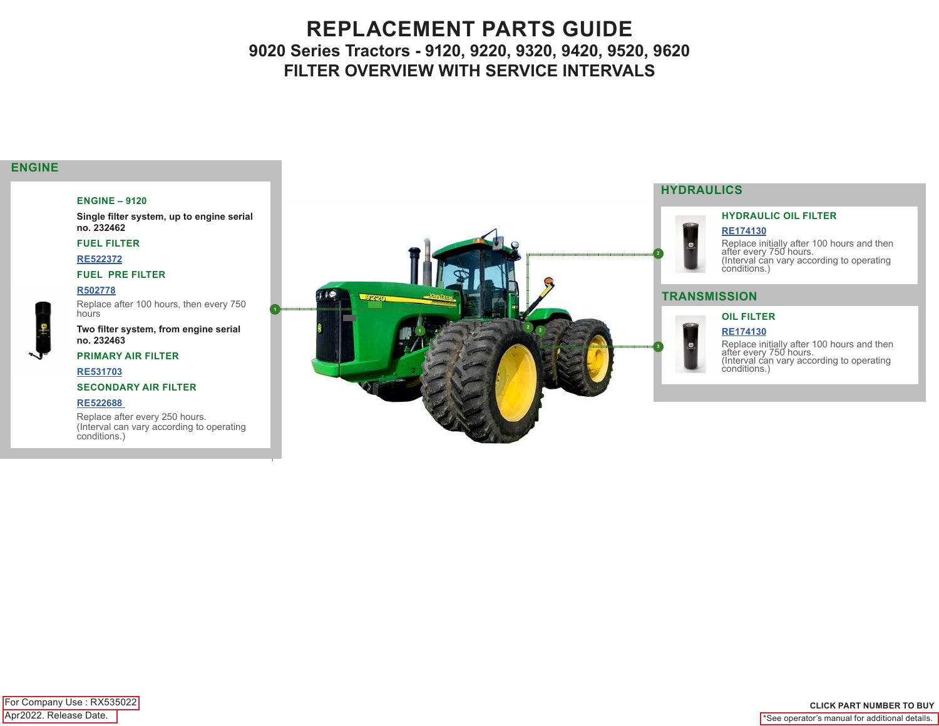# **REPLACEMENT PARTS GUIDE 9020 Series Tractors - 9120, 9220, 9320, 9420, 9520, 9620 FILTER OVERVIEW WITH SERVICE INTERVALS**

### **ENGINE**

#### **ENGINE – 9120**

**Single filter system, up to engine serial no. 232462**

**FUEL FILTER**

**RE522372**

#### **FUEL PRE FILTER**

#### **R502778**

Replace after 100 hours, then every 750 hours **Two filter system, from engine serial** 

**1**

### **PRIMARY AIR FILTER**

**RE531703**

**no. 232463**

#### **SECONDARY AIR FILTER**

#### **RE522688**

Replace after every 250 hours. (Interval can vary according to operating conditions.)

![](_page_1_Picture_14.jpeg)

### **4 HYDRAULICS**

**G** 

G

#### **HYDRAULIC OIL FILTER**

**RE174130**

Replace initially after 100 hours and then after every 750 hours. (Interval can vary according to operating conditions.)

#### **TRANSMISSION**

### **OIL FILTER**

#### **RE174130**

Replace initially after 100 hours and then after every 750 hours. (Interval can vary according to operating conditions.)

Apr2022. Release Date. For Company Use : RX535022

#### **CLICK PART NUMBER TO BUY** \*See operator's manual for additional details.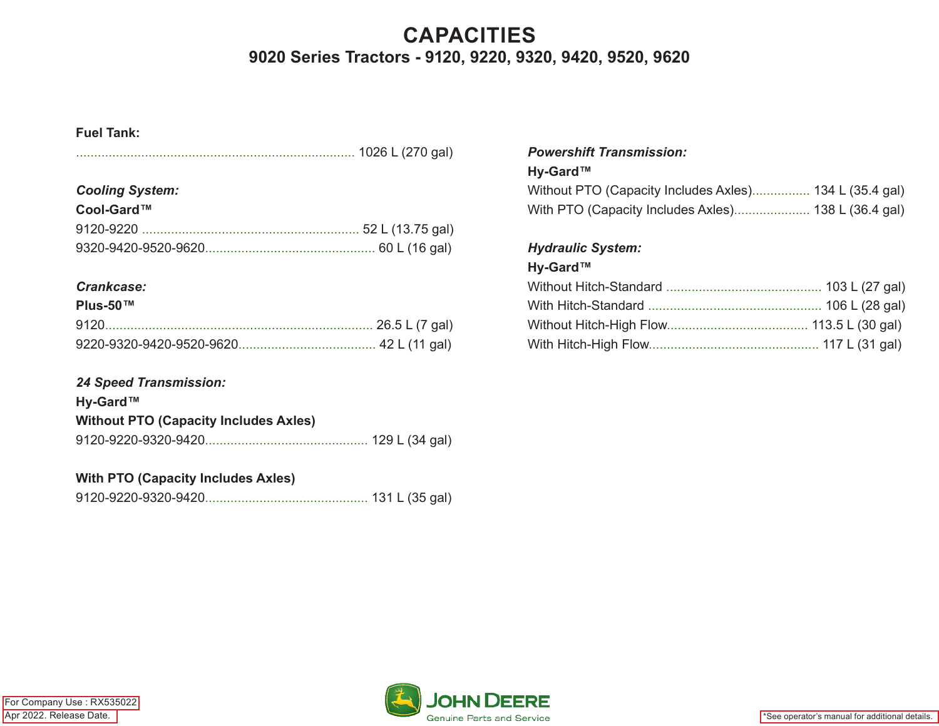# **CAPACITIES 9020 Series Tractors - 9120, 9220, 9320, 9420, 9520, 9620**

# **Fuel Tank:**

|--|--|--|

# *Cooling System:*

| Cool-Gard™ |  |
|------------|--|
|            |  |
|            |  |

# *Crankcase:*

### **Plus-50™**

# *24 Speed Transmission:*

| Hy-Gard™                                     |  |
|----------------------------------------------|--|
| <b>Without PTO (Capacity Includes Axles)</b> |  |
|                                              |  |

# **With PTO (Capacity Includes Axles)**

|--|

## *Powershift Transmission:*

## **Hy-Gard™**

| Without PTO (Capacity Includes Axles) 134 L (35.4 gal) |  |
|--------------------------------------------------------|--|
| With PTO (Capacity Includes Axles) 138 L (36.4 gal)    |  |

# *Hydraulic System:*

# **Hy-Gard™**

![](_page_2_Picture_19.jpeg)